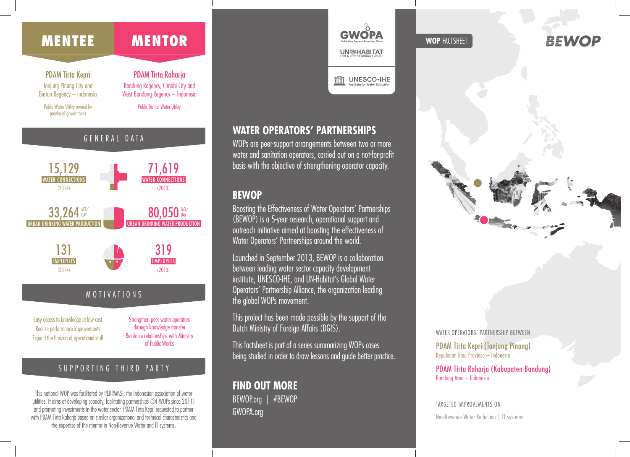

This national WOP was facilitated by PERPAMSI, the Indonesian association of water utilities. It aims at developing capacity, facilitating partnerships (34 WOPs since 2011) and promoting investments in the water sector. PDAM Tirta Kepri requested to partner with PDAM Tirta Raharja based on similar organizational and technical characteristics and the expertise of the mentor in Non-Revenue Water and IT systems.

### GWOPA<sup>W</sup> WOP FACTSHEET **UN@HABITAT**

**UNESCO-IHE** 

**WATER OPERATORS' PARTNERSHIPS**

**BEWOP**

WOPs are peer-support arrangements between two or more water and sanitation operators, carried out on a not-for-profit basis with the objective of strengthening operator capacity.

Boosting the Effectiveness of Water Operators' Partnerships (BEWOP) is a 5-year research, operational support and outreach initiative aimed at boosting the effectiveness of

Launched in September 2013, BEWOP is a collaboration between leading water sector capacity development institute, UNESCO-IHE, and UN-Habitat's Global Water Operators' Partnership Alliance, the organization leading

This project has been made possible by the support of the

This factsheet is part of a series summarizing WOPs cases being studied in order to draw lessons and guide better practice.

Water Operators' Partnerships around the world.

the global WOPs movement.

**FIND OUT MORE** BEWOP.org | #BEWOP

GWOPA.org

Dutch Ministry of Foreign Affairs (DGIS).

**REWOP** 



WATER OPERATORS' PARTNERSHIP BETWEEN

PDAM Tirta Kepri (Tanjung Pinang) Kepulauan Riau Province – Indonesia

PDAM Tirta Raharja (Kabupaten Bandung) Bandung Area – Indonesia

TARGETED IMPROVEMENTS ON Non-Revenue Water Reduction | IT systems